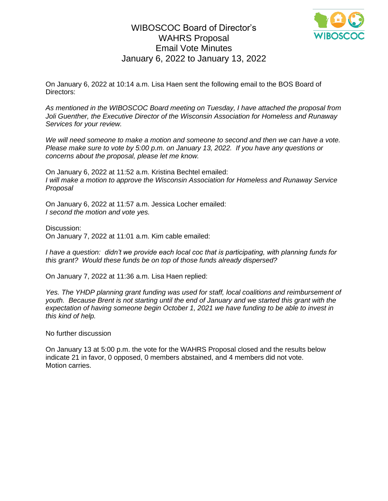## WIBOSCOC Board of Director's WAHRS Proposal Email Vote Minutes January 6, 2022 to January 13, 2022



On January 6, 2022 at 10:14 a.m. Lisa Haen sent the following email to the BOS Board of Directors:

*As mentioned in the WIBOSCOC Board meeting on Tuesday, I have attached the proposal from Joli Guenther, the Executive Director of the Wisconsin Association for Homeless and Runaway Services for your review.* 

*We will need someone to make a motion and someone to second and then we can have a vote. Please make sure to vote by 5:00 p.m. on January 13, 2022. If you have any questions or concerns about the proposal, please let me know.* 

On January 6, 2022 at 11:52 a.m. Kristina Bechtel emailed: *I will make a motion to approve the Wisconsin Association for Homeless and Runaway Service Proposal*

On January 6, 2022 at 11:57 a.m. Jessica Locher emailed: *I second the motion and vote yes.*

Discussion:

On January 7, 2022 at 11:01 a.m. Kim cable emailed:

*I have a question: didn't we provide each local coc that is participating, with planning funds for this grant? Would these funds be on top of those funds already dispersed?*

On January 7, 2022 at 11:36 a.m. Lisa Haen replied:

Yes. The YHDP planning grant funding was used for staff, local coalitions and reimbursement of *youth. Because Brent is not starting until the end of January and we started this grant with the expectation of having someone begin October 1, 2021 we have funding to be able to invest in this kind of help.*

No further discussion

On January 13 at 5:00 p.m. the vote for the WAHRS Proposal closed and the results below indicate 21 in favor, 0 opposed, 0 members abstained, and 4 members did not vote. Motion carries.